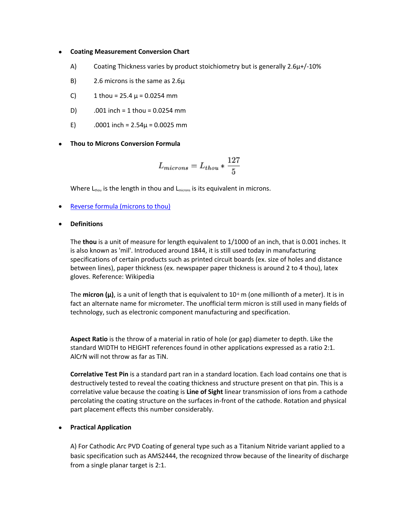## **Coating Measurement Conversion Chart**

- A) Coating Thickness varies by product stoichiometry but is generally  $2.6\mu$ +/-10%
- B) 2.6 microns is the same as 2.6µ
- C) 1 thou =  $25.4 \mu$  = 0.0254 mm
- D) .001 inch = 1 thou = 0.0254 mm
- E)  $.0001$  inch =  $2.54\mu$  = 0.0025 mm

**Thou to Microns Conversion Formula**

$$
L_{microns} = L_{thou} * \frac{127}{5}
$$

Where  $L_{\text{thou}}$  is the length in thou and  $L_{\text{microns}}$  is its equivalent in microns.

- Reverse formula (microns to thou)
- **Definitions**

The **thou** is a unit of measure for length equivalent to 1/1000 of an inch, that is 0.001 inches. It is also known as 'mil'. Introduced around 1844, it is still used today in manufacturing specifications of certain products such as printed circuit boards (ex. size of holes and distance between lines), paper thickness (ex. newspaper paper thickness is around 2 to 4 thou), latex gloves. Reference: Wikipedia

The **micron (µ)**, is a unit of length that is equivalent to  $10<sup>6</sup>$  m (one millionth of a meter). It is in fact an alternate name for micrometer. The unofficial term micron is still used in many fields of technology, such as electronic component manufacturing and specification.

**Aspect Ratio** is the throw of a material in ratio of hole (or gap) diameter to depth. Like the standard WIDTH to HEIGHT references found in other applications expressed as a ratio 2:1. AlCrN will not throw as far as TiN.

**Correlative Test Pin** is a standard part ran in a standard location. Each load contains one that is destructively tested to reveal the coating thickness and structure present on that pin. This is a correlative value because the coating is **Line of Sight** linear transmission of ions from a cathode percolating the coating structure on the surfaces in-front of the cathode. Rotation and physical part placement effects this number considerably.

## **Practical Application**

A) For Cathodic Arc PVD Coating of general type such as a Titanium Nitride variant applied to a basic specification such as AMS2444, the recognized throw because of the linearity of discharge from a single planar target is 2:1.